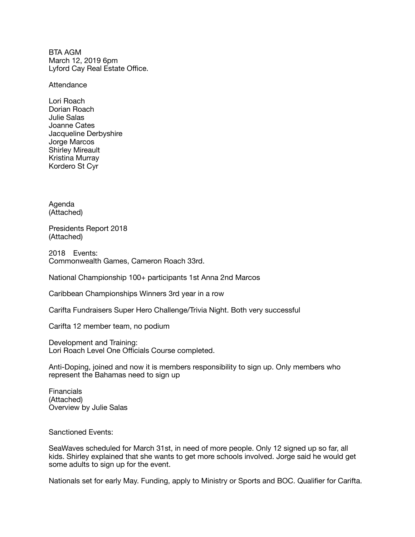BTA AGM March 12, 2019 6pm Lyford Cay Real Estate Office.

**Attendance** 

Lori Roach Dorian Roach Julie Salas Joanne Cates Jacqueline Derbyshire Jorge Marcos Shirley Mireault Kristina Murray Kordero St Cyr

Agenda (Attached)

Presidents Report 2018 (Attached)

2018 Events: Commonwealth Games, Cameron Roach 33rd.

National Championship 100+ participants 1st Anna 2nd Marcos

Caribbean Championships Winners 3rd year in a row

Carifta Fundraisers Super Hero Challenge/Trivia Night. Both very successful

Carifta 12 member team, no podium

Development and Training: Lori Roach Level One Officials Course completed.

Anti-Doping, joined and now it is members responsibility to sign up. Only members who represent the Bahamas need to sign up

**Financials** (Attached) Overview by Julie Salas

Sanctioned Events:

SeaWaves scheduled for March 31st, in need of more people. Only 12 signed up so far, all kids. Shirley explained that she wants to get more schools involved. Jorge said he would get some adults to sign up for the event.

Nationals set for early May. Funding, apply to Ministry or Sports and BOC. Qualifier for Carifta.